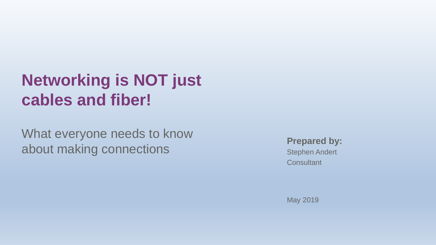## **Networking is NOT just cables and fiber!**

What everyone needs to know about making connections

**Prepared by:**

Stephen Andert **Consultant** 

May 2019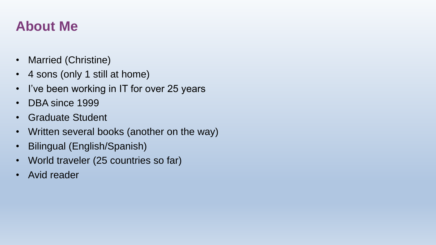### **About Me**

- Married (Christine)
- 4 sons (only 1 still at home)
- I've been working in IT for over 25 years
- DBA since 1999
- Graduate Student
- Written several books (another on the way)
- Bilingual (English/Spanish)
- World traveler (25 countries so far)
- Avid reader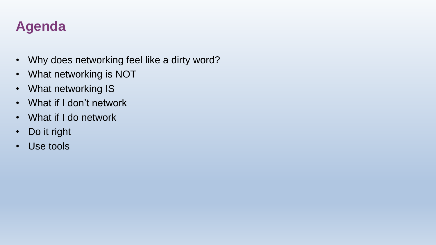## **Agenda**

- Why does networking feel like a dirty word?
- What networking is NOT
- What networking IS
- What if I don't network
- What if I do network
- Do it right
- Use tools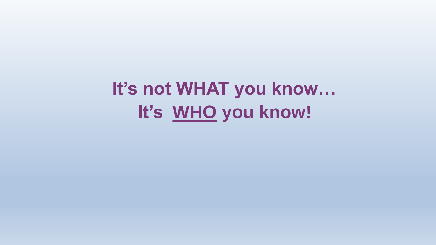**It's not WHAT you know… It's WHO you know!**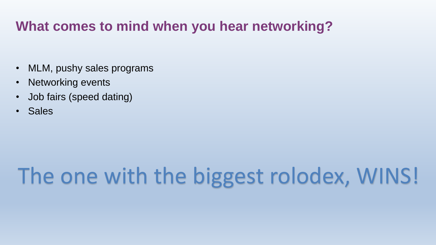#### **What comes to mind when you hear networking?**

- MLM, pushy sales programs
- Networking events
- Job fairs (speed dating)
- Sales

# The one with the biggest rolodex, WINS!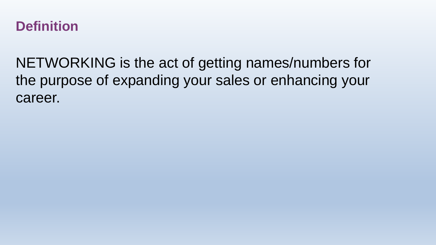

NETWORKING is the act of getting names/numbers for the purpose of expanding your sales or enhancing your career.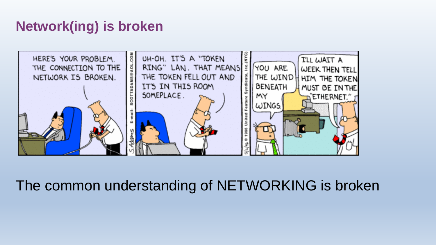## **Network(ing) is broken**



## The common understanding of NETWORKING is broken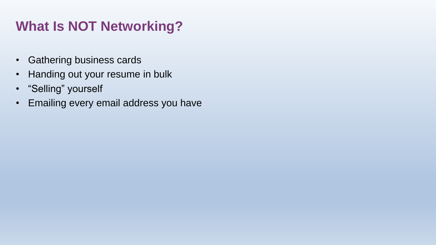## **What Is NOT Networking?**

- Gathering business cards
- Handing out your resume in bulk
- "Selling" yourself
- Emailing every email address you have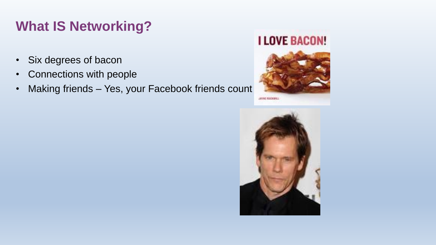## **What IS Networking?**

- Six degrees of bacon
- Connections with people
- Making friends Yes, your Facebook friends count

#### **I LOVE BACON!**



JIYINE ROCKMILL

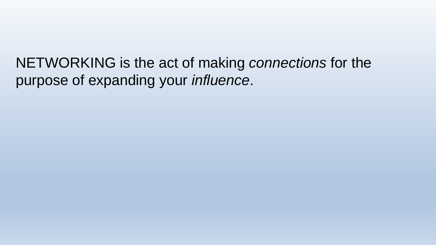NETWORKING is the act of making *connections* for the purpose of expanding your *influence*.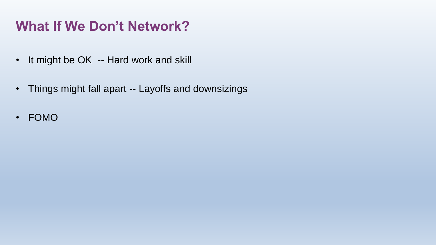## **What If We Don't Network?**

- It might be OK -- Hard work and skill
- Things might fall apart -- Layoffs and downsizings
- FOMO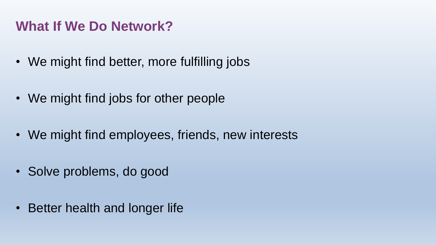#### **What If We Do Network?**

- We might find better, more fulfilling jobs
- We might find jobs for other people
- We might find employees, friends, new interests
- Solve problems, do good
- Better health and longer life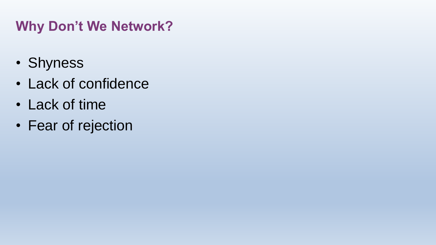## **Why Don't We Network?**

- Shyness
- Lack of confidence
- Lack of time
- Fear of rejection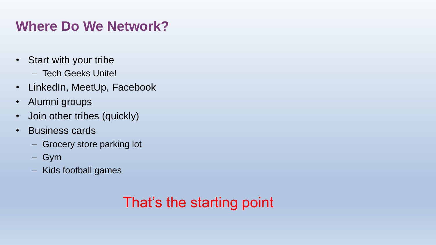## **Where Do We Network?**

- Start with your tribe
	- Tech Geeks Unite!
- LinkedIn, MeetUp, Facebook
- Alumni groups
- Join other tribes (quickly)
- Business cards
	- Grocery store parking lot
	- Gym
	- Kids football games

## That's the starting point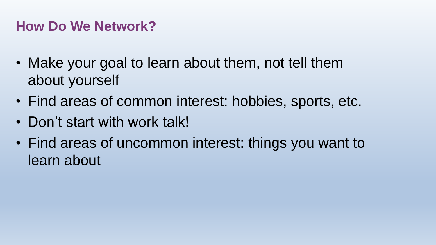#### **How Do We Network?**

- Make your goal to learn about them, not tell them about yourself
- Find areas of common interest: hobbies, sports, etc.
- Don't start with work talk!
- Find areas of uncommon interest: things you want to learn about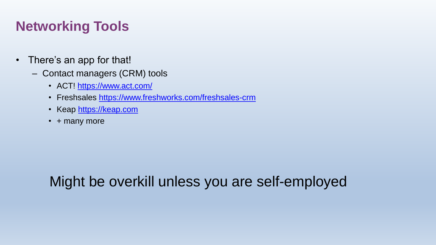## **Networking Tools**

- There's an app for that!
	- Contact managers (CRM) tools
		- ACT! <https://www.act.com/>
		- Freshsales <https://www.freshworks.com/freshsales-crm>
		- Keap [https://keap.com](https://keap.com/)
		- + many more

## Might be overkill unless you are self-employed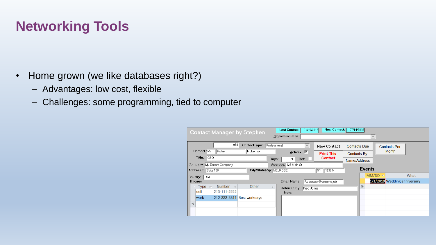## **Networking Tools**

- Home grown (we like databases right?)
	- Advantages: low cost, flexible
	- Challenges: some programming, tied to computer

| <b>Next Contact:</b><br>07/14/2018<br>04/15/2018<br><b>Last Contact:</b><br><b>Contact Manager by Stephen</b> |                                                  |                             |                       |                              |  |  |  |  |  |
|---------------------------------------------------------------------------------------------------------------|--------------------------------------------------|-----------------------------|-----------------------|------------------------------|--|--|--|--|--|
| OrganizationName<br>$\checkmark$                                                                              |                                                  |                             |                       |                              |  |  |  |  |  |
| 968                                                                                                           | ContactType:<br>Professional                     | $\checkmark$<br>New Contact | <b>Contacts Due</b>   | <b>Contacts Per</b>          |  |  |  |  |  |
| Contact: Mr<br>Robert                                                                                         | Robertson<br>Active? $\triangledown$             | <b>Print This</b>           | <b>Contacts By</b>    | <b>Month</b>                 |  |  |  |  |  |
| Title: CEO                                                                                                    | Days:<br>90 <sup>1</sup><br>Address: 123 Main St | Contact<br>$\mathsf{Ref:}$  | Name/Address          |                              |  |  |  |  |  |
| Company My Dream Company                                                                                      | <b>Events</b>                                    |                             |                       |                              |  |  |  |  |  |
| Address2: Suite 100                                                                                           | City/State/Zip: MELROSE                          | NY 12121-                   | $MM/DD$ $\rightarrow$ | What                         |  |  |  |  |  |
| Country: USA<br><b>Phones</b>                                                                                 | <b>Email Name:</b>                               | Robertson@dreams.job        |                       | 1/1/2019 Wedding anniversary |  |  |  |  |  |
| <b>Number</b><br>Type<br>$+1$<br>$\mathbf{v}$                                                                 | Other<br>w.<br>Referred By: Fred Jones           |                             | *                     |                              |  |  |  |  |  |
| 213-111-2222<br>cell                                                                                          | Note:                                            |                             |                       |                              |  |  |  |  |  |
| 212-222-3311<br>work                                                                                          | <b>Best workdays</b>                             |                             |                       |                              |  |  |  |  |  |
| *                                                                                                             |                                                  |                             |                       |                              |  |  |  |  |  |
|                                                                                                               |                                                  |                             |                       |                              |  |  |  |  |  |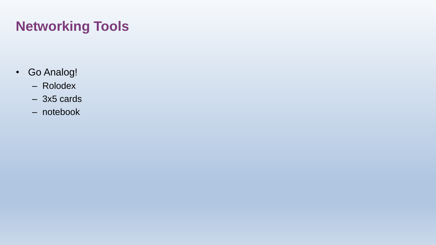## **Networking Tools**

- Go Analog!
	- Rolodex
	- 3x5 cards
	- notebook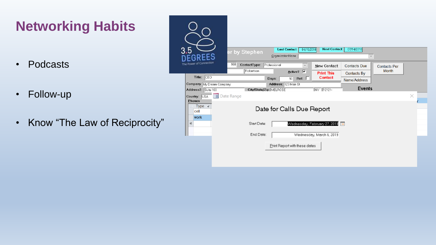## **Networking Habits**

- Podcasts
- Follow-up
- Know "The Law of Reciprocity"

| 3.5                                             | er by Stephen             | <b>Last Contact:</b><br>04/15/2018<br>OrganizationName | <b>Next Contact:</b>         | 07/14/2018<br>$\color{red}\times$ |                     |   |  |  |
|-------------------------------------------------|---------------------------|--------------------------------------------------------|------------------------------|-----------------------------------|---------------------|---|--|--|
| The Power of Connection                         | 968<br>ContactType:       | Professional<br>$\small \vee$                          | New Contact                  | <b>Contacts Due</b>               | <b>Contacts Per</b> |   |  |  |
|                                                 | Robertson                 | Active? <b>V</b>                                       | <b>Print This</b>            | <b>Contacts By</b>                | <b>Month</b>        |   |  |  |
| CEO<br>Title:                                   |                           | $\mathsf{Ref:}$<br>Days:<br>90                         | <b>Contact</b>               | Name/Address                      |                     |   |  |  |
| Company My Dream Company<br>Address2: Suite 100 | City/State/Zip: MELROSE   | Address: 123 Main St                                   | NY 12121-                    | <b>Events</b>                     |                     |   |  |  |
| Country: USA<br><b>Phones</b>                   | 긤<br>Date Range           |                                                        |                              |                                   |                     | × |  |  |
| Type +<br>cell                                  | Date for Calls Due Report |                                                        |                              |                                   |                     |   |  |  |
| <b>work</b><br>₩                                | Start Date:               |                                                        | Wednesday, February 27, 2019 | Πö                                |                     |   |  |  |
|                                                 | End Date:                 |                                                        | Wednesday, March 6, 2019     |                                   |                     |   |  |  |
|                                                 |                           | Print Report with these dates                          |                              |                                   |                     |   |  |  |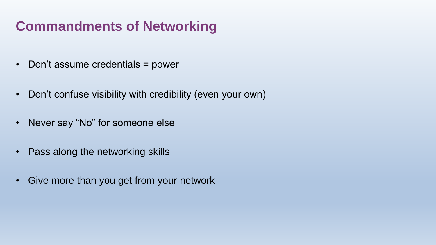#### **Commandments of Networking**

- Don't assume credentials = power
- Don't confuse visibility with credibility (even your own)
- Never say "No" for someone else
- Pass along the networking skills
- Give more than you get from your network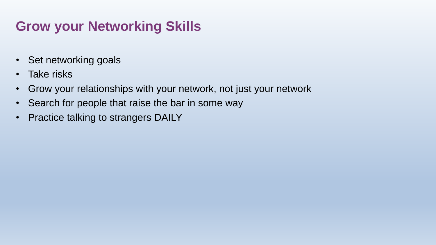## **Grow your Networking Skills**

- Set networking goals
- Take risks
- Grow your relationships with your network, not just your network
- Search for people that raise the bar in some way
- Practice talking to strangers DAILY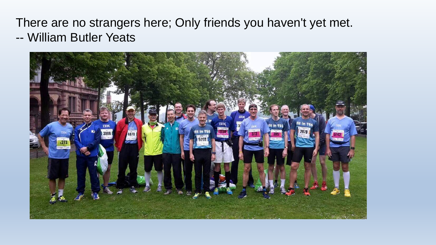#### There are no strangers here; Only friends you haven't yet met. -- William Butler Yeats

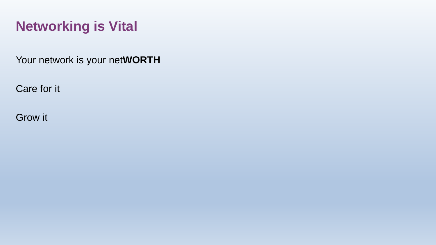## **Networking is Vital**

Your network is your net**WORTH**

Care for it

Grow it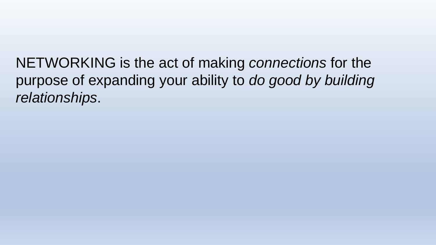NETWORKING is the act of making *connections* for the purpose of expanding your ability to *do good by building relationships*.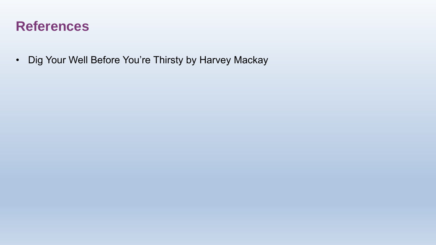#### **References**

• Dig Your Well Before You're Thirsty by Harvey Mackay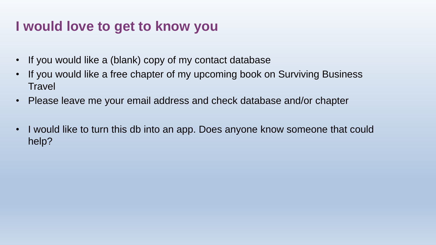#### **I would love to get to know you**

- If you would like a (blank) copy of my contact database
- If you would like a free chapter of my upcoming book on Surviving Business **Travel**
- Please leave me your email address and check database and/or chapter
- I would like to turn this db into an app. Does anyone know someone that could help?